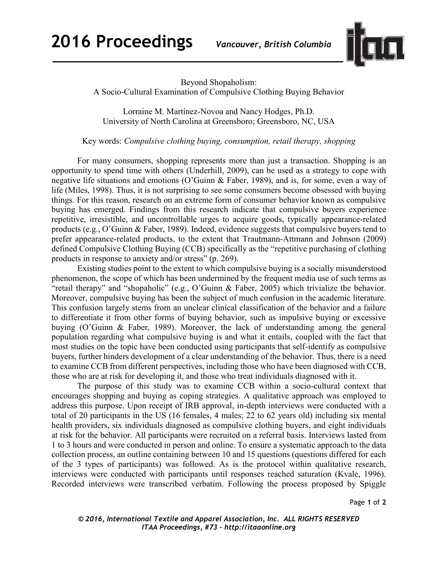

Beyond Shopaholism:

A Socio-Cultural Examination of Compulsive Clothing Buying Behavior

Lorraine M. Martínez-Novoa and Nancy Hodges, Ph.D. University of North Carolina at Greensboro; Greensboro, NC, USA

Key words: *Compulsive clothing buying, consumption, retail therapy, shopping* 

For many consumers, shopping represents more than just a transaction. Shopping is an opportunity to spend time with others (Underhill, 2009), can be used as a strategy to cope with negative life situations and emotions (O'Guinn & Faber, 1989), and is, for some, even a way of life (Miles, 1998). Thus, it is not surprising to see some consumers become obsessed with buying things. For this reason, research on an extreme form of consumer behavior known as compulsive buying has emerged. Findings from this research indicate that compulsive buyers experience repetitive, irresistible, and uncontrollable urges to acquire goods, typically appearance-related products (e.g., O'Guinn & Faber, 1989). Indeed, evidence suggests that compulsive buyers tend to prefer appearance-related products, to the extent that Trautmann-Attmann and Johnson (2009) defined Compulsive Clothing Buying (CCB) specifically as the "repetitive purchasing of clothing products in response to anxiety and/or stress" (p. 269).

Existing studies point to the extent to which compulsive buying is a socially misunderstood phenomenon, the scope of which has been undermined by the frequent media use of such terms as "retail therapy" and "shopaholic" (e.g., O'Guinn & Faber, 2005) which trivialize the behavior. Moreover, compulsive buying has been the subject of much confusion in the academic literature. This confusion largely stems from an unclear clinical classification of the behavior and a failure to differentiate it from other forms of buying behavior, such as impulsive buying or excessive buying (O'Guinn & Faber, 1989). Moreover, the lack of understanding among the general population regarding what compulsive buying is and what it entails, coupled with the fact that most studies on the topic have been conducted using participants that self-identify as compulsive buyers, further hinders development of a clear understanding of the behavior. Thus, there is a need to examine CCB from different perspectives, including those who have been diagnosed with CCB, those who are at risk for developing it, and those who treat individuals diagnosed with it.

The purpose of this study was to examine CCB within a socio-cultural context that encourages shopping and buying as coping strategies. A qualitative approach was employed to address this purpose. Upon receipt of IRB approval, in-depth interviews were conducted with a total of 20 participants in the US (16 females, 4 males; 22 to 62 years old) including six mental health providers, six individuals diagnosed as compulsive clothing buyers, and eight individuals at risk for the behavior. All participants were recruited on a referral basis. Interviews lasted from 1 to 3 hours and were conducted in person and online. To ensure a systematic approach to the data collection process, an outline containing between 10 and 15 questions (questions differed for each of the 3 types of participants) was followed. As is the protocol within qualitative research, interviews were conducted with participants until responses reached saturation (Kvale, 1996). Recorded interviews were transcribed verbatim. Following the process proposed by Spiggle

Page **1** of **2** 

*© 2016, International Textile and Apparel Association, Inc. ALL RIGHTS RESERVED ITAA Proceedings, #73 – http://itaaonline.org*